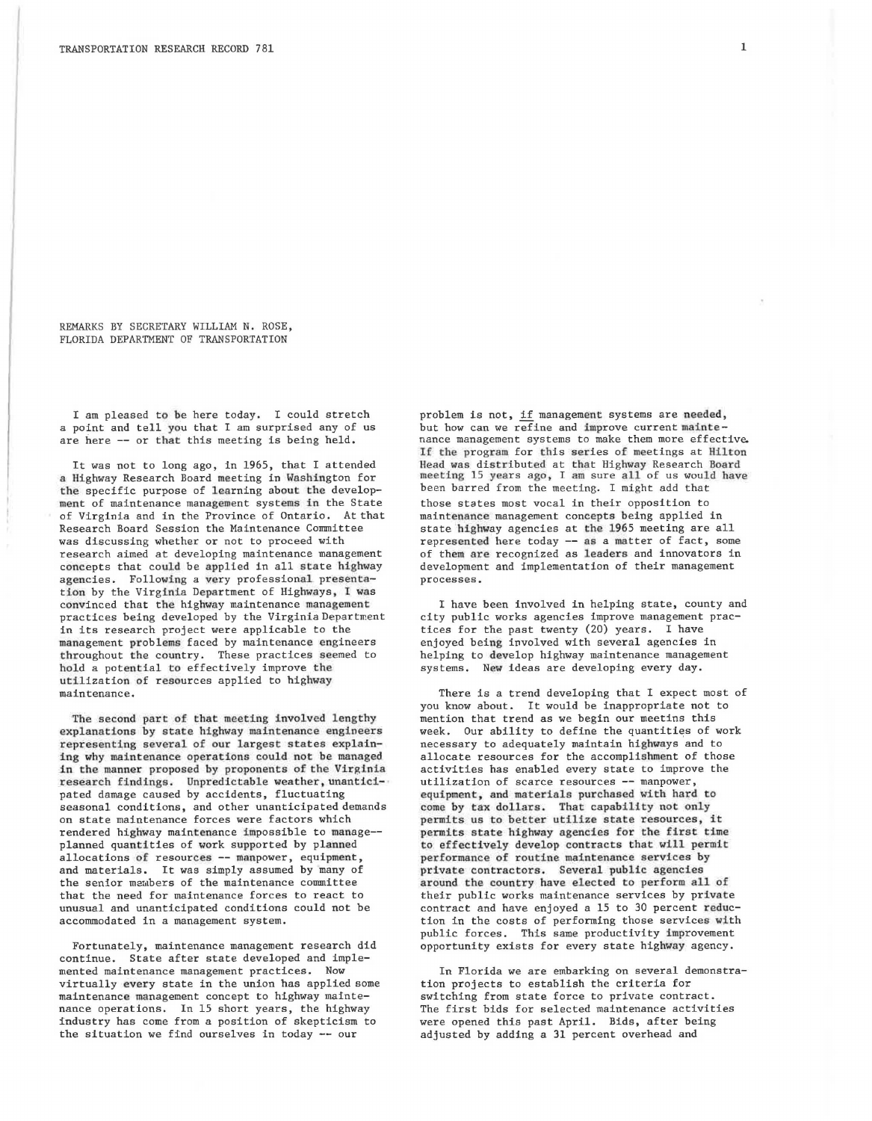REMARKS BY SECRETARY WILLIAM N. ROSE, FLORIDA DEPARTMENT OF TRANSPORTATION

I am pleased to be here today. I could stretch a point and tell you that I am surprised any of us are here -- or that this meeting is being held.

It was not to long ago, in 1965, that I attended a Highway Research Board meeting in Washington for the specific purpose of learning about the development of maintenance management systems in the State of Virginia and in the Province of Ontario. Atthat Research Board Session the Maintenance Committee was discussing whether or not to proceed with research aimed at developing maintenance management concepts that could be applied in all state highway agencies. Following a very professional presentation by the Virginia Department of Highways, I was convinced that the highway maintenance management practices being developed by the Virginia Department in its research project were applicable to the management problems faced by maintenance engineers throughout the country. These practices seemed to hold a potential to effectively improve the utilization of resources applied to highway maintenance.

The second part of that meeting involved lengthy explanations by state highway maintenance engineers representing several of our largest states explaining why maintenance operations could not be managed *in* the manner proposed by proponents of the Virginia research findings. Unpredictable weather, unanticipated damage caused by accidents, fluctuating seasonal conditions, and other unanticipated demands on state maintenance forces were factors which rendered highway maintenance impossible to manage- planned quantities of work supported by planned allocations of resources -- manpower, equipment, and materials. It was simply assumed by many of the senior members of the maintenance committee that the need for maintenance forces to react to unusual and unanticipated conditions could not be accommodated in a management system.

Fortunately, maintenance management research did continue. State after state developed and implemented maintenance management practices. Now virtually every state in the union has applied some maintenance management concept to highway maintenance operations. In 15 short years, the highway industry has come from a position of skepticism to the situation *we* find ourselves in today -- our

problem is not, if management systems are needed, but how can we refine and improve current maintenance management systems to make them more effective. If tbe program for this series of meetings at Hilton Head was distributed at that Highway Research Board meeting 15 years ago, I am sure all of us would have been barred from the meeting. I might add that those states most vocal in their opposition to maintenance management concepts being applied in state highway agencies at the 1965 meeting are all represented here today -- as a matter of fact, some of them are recognized as leaders and innovators in development and implementation of their management processes.

I have been involved in helping state, county and city public works agencies improve management practices for the past twenty (20) years. I have enjoyed being involved with several agencies in helping to develop highway maintenance management systems. New ideas are developing every day.

There is a trend developing that I expect most of you know about. It would be inappropriate not to mention that trend as we begin our meetins this week. Our ability to define the quantities of work necessary to adequately maintain highways and to allocate resources for the accomplishment of those activities has enabled every state to improve the utilization of scarce resources -- manpower, equipment, and materials purchased with hard to come by tax dollars. That capability not only permits us to better utilize state resources, it permits state highway agencies for the first time to effectively develop contracts that will permit performance of routine maintenance services by private contractors. Several public agencies around the country have elected to perform all of their public works maintenance services by private contract and have enjoyed a 15 to 30 percent reduction in the costs of performing those services with public forces. This same productivity improvement opportunity exists for every state highway agency.

In Florida we are embarking on several demonstration projects to establish the criteria for switching from state force to private contract. The first bids for selected maintenance activities were opened this past April. Bids, after being adjusted by adding a 31 percent overhead and